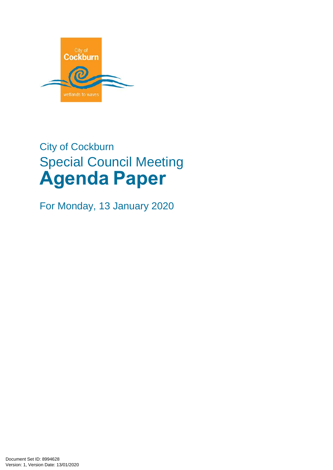

# City of Cockburn Special Council Meeting **Agenda Paper**

For Monday, 13 January 2020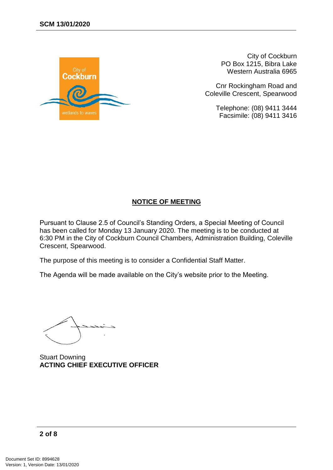

City of Cockburn PO Box 1215, Bibra Lake Western Australia 6965

Cnr Rockingham Road and Coleville Crescent, Spearwood

> Telephone: (08) 9411 3444 Facsimile: (08) 9411 3416

## **NOTICE OF MEETING**

Pursuant to Clause 2.5 of Council's Standing Orders, a Special Meeting of Council has been called for Monday 13 January 2020. The meeting is to be conducted at 6:30 PM in the City of Cockburn Council Chambers, Administration Building, Coleville Crescent, Spearwood.

The purpose of this meeting is to consider a Confidential Staff Matter.

The Agenda will be made available on the City's website prior to the Meeting.

Stuart Downing **ACTING CHIEF EXECUTIVE OFFICER**

$$
2\ of\ 8
$$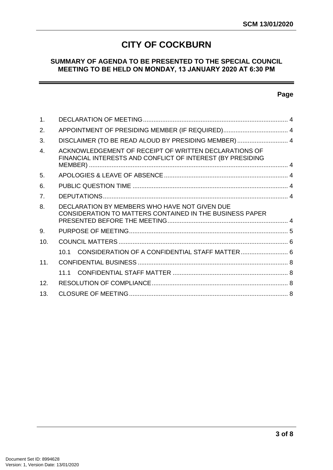# **CITY OF COCKBURN**

## **SUMMARY OF AGENDA TO BE PRESENTED TO THE SPECIAL COUNCIL MEETING TO BE HELD ON MONDAY, 13 JANUARY 2020 AT 6:30 PM**

#### **Page**

| 1.              |                                                                                                                     |  |
|-----------------|---------------------------------------------------------------------------------------------------------------------|--|
| 2.              | APPOINTMENT OF PRESIDING MEMBER (IF REQUIRED) 4                                                                     |  |
| 3.              | DISCLAIMER (TO BE READ ALOUD BY PRESIDING MEMBER)  4                                                                |  |
| $\mathbf{4}$ .  | ACKNOWLEDGEMENT OF RECEIPT OF WRITTEN DECLARATIONS OF<br>FINANCIAL INTERESTS AND CONFLICT OF INTEREST (BY PRESIDING |  |
| 5.              |                                                                                                                     |  |
| 6.              |                                                                                                                     |  |
| 7 <sub>1</sub>  |                                                                                                                     |  |
| 8.              | DECLARATION BY MEMBERS WHO HAVE NOT GIVEN DUE<br><b>CONSIDERATION TO MATTERS CONTAINED IN THE BUSINESS PAPER</b>    |  |
| 9.              |                                                                                                                     |  |
| 10.             |                                                                                                                     |  |
|                 | 10.1                                                                                                                |  |
| 11 <sub>1</sub> |                                                                                                                     |  |
|                 |                                                                                                                     |  |
| 12 <sub>1</sub> |                                                                                                                     |  |
| 13 <sub>1</sub> |                                                                                                                     |  |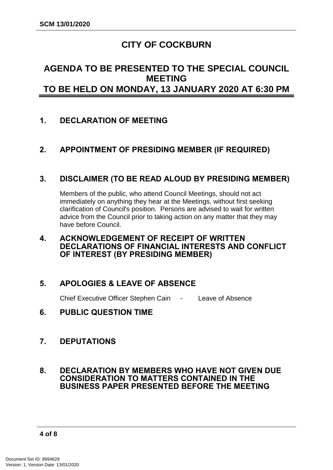# **CITY OF COCKBURN**

# **AGENDA TO BE PRESENTED TO THE SPECIAL COUNCIL MEETING TO BE HELD ON MONDAY, 13 JANUARY 2020 AT 6:30 PM**

# <span id="page-3-0"></span>**1. DECLARATION OF MEETING**

# <span id="page-3-1"></span>**2. APPOINTMENT OF PRESIDING MEMBER (IF REQUIRED)**

# <span id="page-3-2"></span>**3. DISCLAIMER (TO BE READ ALOUD BY PRESIDING MEMBER)**

Members of the public, who attend Council Meetings, should not act immediately on anything they hear at the Meetings, without first seeking clarification of Council's position. Persons are advised to wait for written advice from the Council prior to taking action on any matter that they may have before Council.

## <span id="page-3-3"></span>**4. ACKNOWLEDGEMENT OF RECEIPT OF WRITTEN DECLARATIONS OF FINANCIAL INTERESTS AND CONFLICT OF INTEREST (BY PRESIDING MEMBER)**

# <span id="page-3-4"></span>**5. APOLOGIES & LEAVE OF ABSENCE**

Chief Executive Officer Stephen Cain - Leave of Absence

<span id="page-3-5"></span>**6. PUBLIC QUESTION TIME**

# <span id="page-3-6"></span>**7. DEPUTATIONS**

#### <span id="page-3-7"></span>**8. DECLARATION BY MEMBERS WHO HAVE NOT GIVEN DUE CONSIDERATION TO MATTERS CONTAINED IN THE BUSINESS PAPER PRESENTED BEFORE THE MEETING**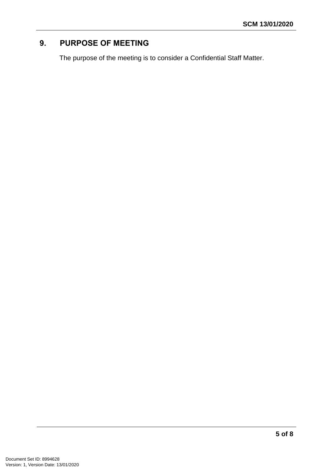# <span id="page-4-0"></span>**9. PURPOSE OF MEETING**

The purpose of the meeting is to consider a Confidential Staff Matter.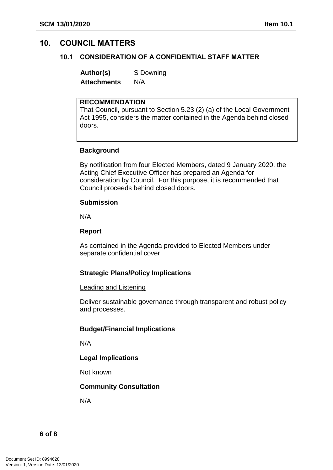## <span id="page-5-1"></span><span id="page-5-0"></span>**10. COUNCIL MATTERS**

#### **10.1 CONSIDERATION OF A CONFIDENTIAL STAFF MATTER**

**Author(s)** S Downing **Attachments** N/A

#### **RECOMMENDATION**

That Council, pursuant to Section 5.23 (2) (a) of the Local Government Act 1995, considers the matter contained in the Agenda behind closed doors.

#### **Background**

By notification from four Elected Members, dated 9 January 2020, the Acting Chief Executive Officer has prepared an Agenda for consideration by Council. For this purpose, it is recommended that Council proceeds behind closed doors.

#### **Submission**

N/A

#### **Report**

As contained in the Agenda provided to Elected Members under separate confidential cover.

#### **Strategic Plans/Policy Implications**

#### Leading and Listening

Deliver sustainable governance through transparent and robust policy and processes.

#### **Budget/Financial Implications**

N/A

#### **Legal Implications**

Not known

#### **Community Consultation**

N/A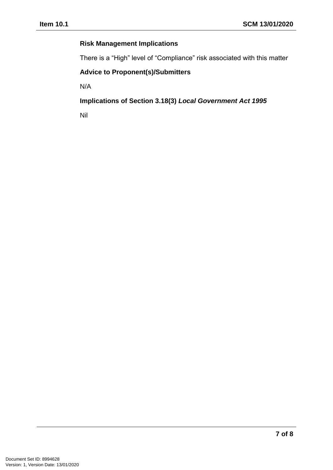## **Risk Management Implications**

There is a "High" level of "Compliance" risk associated with this matter

## **Advice to Proponent(s)/Submitters**

N/A

**Implications of Section 3.18(3)** *Local Government Act 1995*

Nil